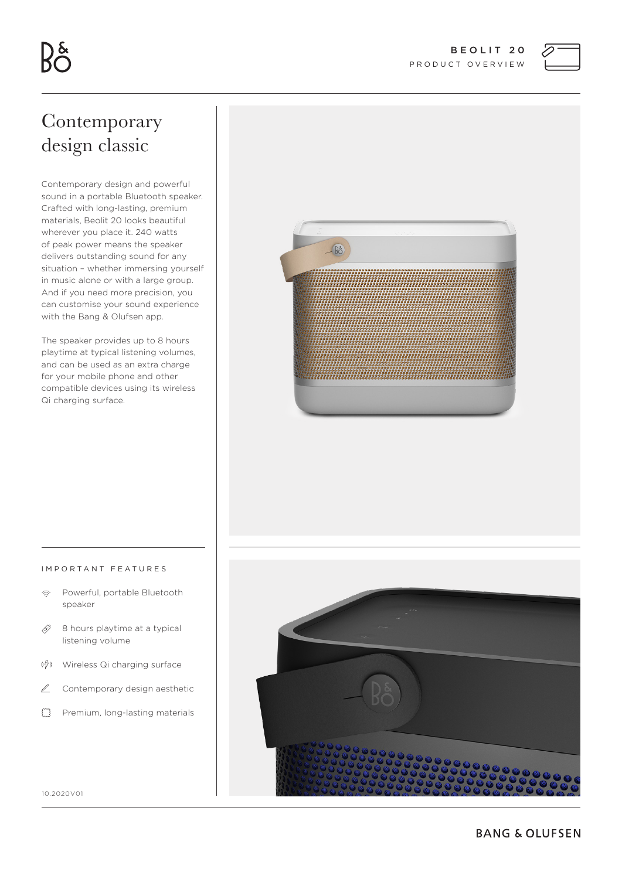

# Contemporary design classic

Contemporary design and powerful sound in a portable Bluetooth speaker. Crafted with long-lasting, premium materials, Beolit 20 looks beautiful wherever you place it. 240 watts of peak power means the speaker delivers outstanding sound for any situation – whether immersing yourself in music alone or with a large group. And if you need more precision, you can customise your sound experience with the Bang & Olufsen app.

The speaker provides up to 8 hours playtime at typical listening volumes, and can be used as an extra charge for your mobile phone and other compatible devices using its wireless Qi charging surface.



#### IMPORTANT FEATURES

- $\hat{\mathbb{R}}$ Powerful, portable Bluetooth speaker
- $\mathcal{L}$ 8 hours playtime at a typical listening volume
- $((\frac{17}{2}) )$ Wireless Qi charging surface
- $\mathbb Z$ Contemporary design aesthetic
- $f^{\gamma}$ Premium, long-lasting materials



10.2020V01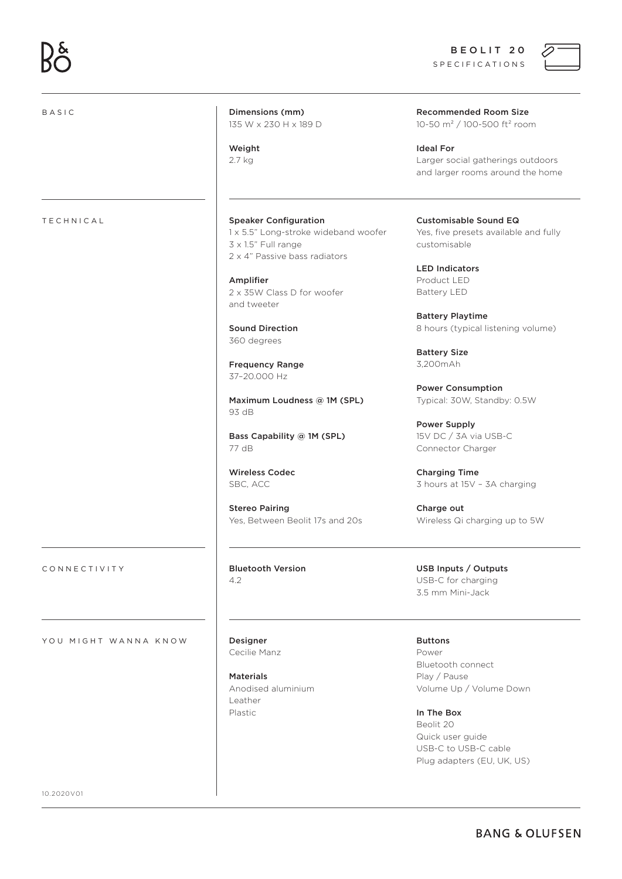BEOLIT 20 SPECIFICATIONS



| <b>BASIC</b>         | Dimensions (mm)<br>135 W x 230 H x 189 D                                                     | <b>Recommended Room Size</b><br>10-50 m <sup>2</sup> / 100-500 ft <sup>2</sup> room       |
|----------------------|----------------------------------------------------------------------------------------------|-------------------------------------------------------------------------------------------|
|                      | Weight<br>2.7 kg                                                                             | <b>Ideal For</b><br>Larger social gatherings outdoors<br>and larger rooms around the home |
| <b>TECHNICAL</b>     | <b>Speaker Configuration</b>                                                                 | <b>Customisable Sound EQ</b>                                                              |
|                      | 1 x 5.5" Long-stroke wideband woofer<br>3 x 1.5" Full range<br>2 x 4" Passive bass radiators | Yes, five presets available and fully<br>customisable                                     |
|                      |                                                                                              | <b>LED Indicators</b>                                                                     |
|                      | Amplifier                                                                                    | Product LED                                                                               |
|                      | 2 x 35W Class D for woofer<br>and tweeter                                                    | Battery LED                                                                               |
|                      |                                                                                              | <b>Battery Playtime</b>                                                                   |
|                      | <b>Sound Direction</b><br>360 degrees                                                        | 8 hours (typical listening volume)                                                        |
|                      |                                                                                              | <b>Battery Size</b>                                                                       |
|                      | <b>Frequency Range</b><br>37-20.000 Hz                                                       | 3,200mAh                                                                                  |
|                      |                                                                                              | <b>Power Consumption</b>                                                                  |
|                      | Maximum Loudness @ 1M (SPL)<br>93 dB                                                         | Typical: 30W, Standby: 0.5W                                                               |
|                      |                                                                                              | Power Supply                                                                              |
|                      | Bass Capability @ 1M (SPL)                                                                   | 15V DC / 3A via USB-C                                                                     |
|                      | 77 dB                                                                                        | Connector Charger                                                                         |
|                      | <b>Wireless Codec</b>                                                                        | <b>Charging Time</b>                                                                      |
|                      | SBC, ACC                                                                                     | 3 hours at 15V - 3A charging                                                              |
|                      | <b>Stereo Pairing</b>                                                                        | Charge out                                                                                |
|                      | Yes, Between Beolit 17s and 20s                                                              | Wireless Qi charging up to 5W                                                             |
| CONNECTIVITY         | <b>Bluetooth Version</b>                                                                     | USB Inputs / Outputs                                                                      |
|                      | 4.2                                                                                          | USB-C for charging<br>3.5 mm Mini-Jack                                                    |
| YOU MIGHT WANNA KNOW | Designer                                                                                     | <b>Buttons</b>                                                                            |
|                      | Cecilie Manz                                                                                 | Power<br>Bluetooth connect                                                                |
|                      | <b>Materials</b>                                                                             | Play / Pause                                                                              |
|                      | Anodised aluminium<br>Leather                                                                | Volume Up / Volume Down                                                                   |
|                      | Plastic                                                                                      | In The Box                                                                                |
|                      |                                                                                              | Beolit 20                                                                                 |

Quick user guide USB-C to USB-C cable Plug adapters (EU, UK, US)

10.2020V01

**BANG & OLUFSEN**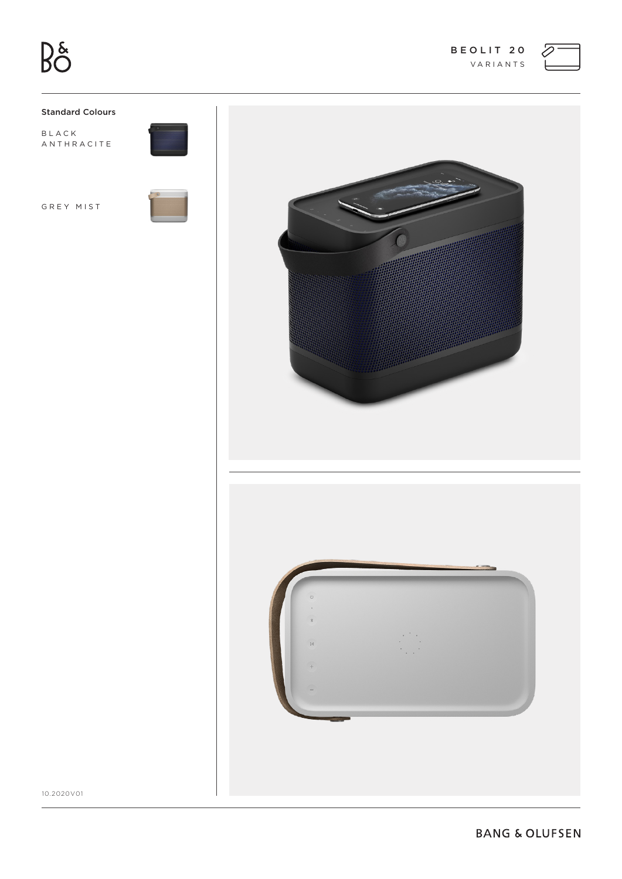

# **Standard Colours**

BLACK ANTHRACITE

GREY MIST





10.2020V01